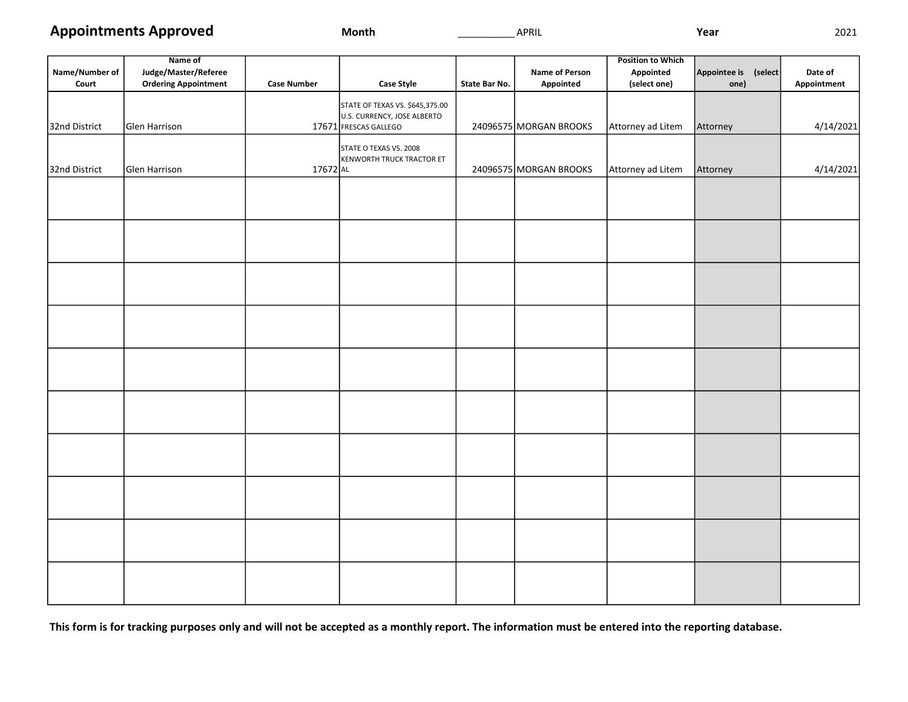Appointments Approved

Name of

| Month |
|-------|
|-------|

Position to Which

| Name/Number of<br>Court | Judge/Master/Referee<br><b>Ordering Appointment</b> | <b>Case Number</b> | <b>Case Style</b>                                              | State Bar No. | <b>Name of Person</b><br>Appointed | Appointed<br>(select one) | Appointee is (select<br>one) | Date of<br>Appointment |
|-------------------------|-----------------------------------------------------|--------------------|----------------------------------------------------------------|---------------|------------------------------------|---------------------------|------------------------------|------------------------|
|                         |                                                     |                    | STATE OF TEXAS VS. \$645,375.00<br>U.S. CURRENCY, JOSE ALBERTO |               |                                    |                           |                              |                        |
| 32nd District           | Glen Harrison                                       |                    | 17671 FRESCAS GALLEGO                                          |               | 24096575 MORGAN BROOKS             | Attorney ad Litem         | Attorney                     | 4/14/2021              |
|                         |                                                     |                    | STATE O TEXAS VS. 2008<br>KENWORTH TRUCK TRACTOR ET            |               |                                    |                           |                              |                        |
| 32nd District           | Glen Harrison                                       | 17672 AL           |                                                                |               | 24096575 MORGAN BROOKS             | Attorney ad Litem         | Attorney                     | 4/14/2021              |
|                         |                                                     |                    |                                                                |               |                                    |                           |                              |                        |
|                         |                                                     |                    |                                                                |               |                                    |                           |                              |                        |
|                         |                                                     |                    |                                                                |               |                                    |                           |                              |                        |
|                         |                                                     |                    |                                                                |               |                                    |                           |                              |                        |
|                         |                                                     |                    |                                                                |               |                                    |                           |                              |                        |
|                         |                                                     |                    |                                                                |               |                                    |                           |                              |                        |
|                         |                                                     |                    |                                                                |               |                                    |                           |                              |                        |
|                         |                                                     |                    |                                                                |               |                                    |                           |                              |                        |
|                         |                                                     |                    |                                                                |               |                                    |                           |                              |                        |
|                         |                                                     |                    |                                                                |               |                                    |                           |                              |                        |
|                         |                                                     |                    |                                                                |               |                                    |                           |                              |                        |

This form is for tracking purposes only and will not be accepted as a monthly report. The information must be entered into the reporting database.